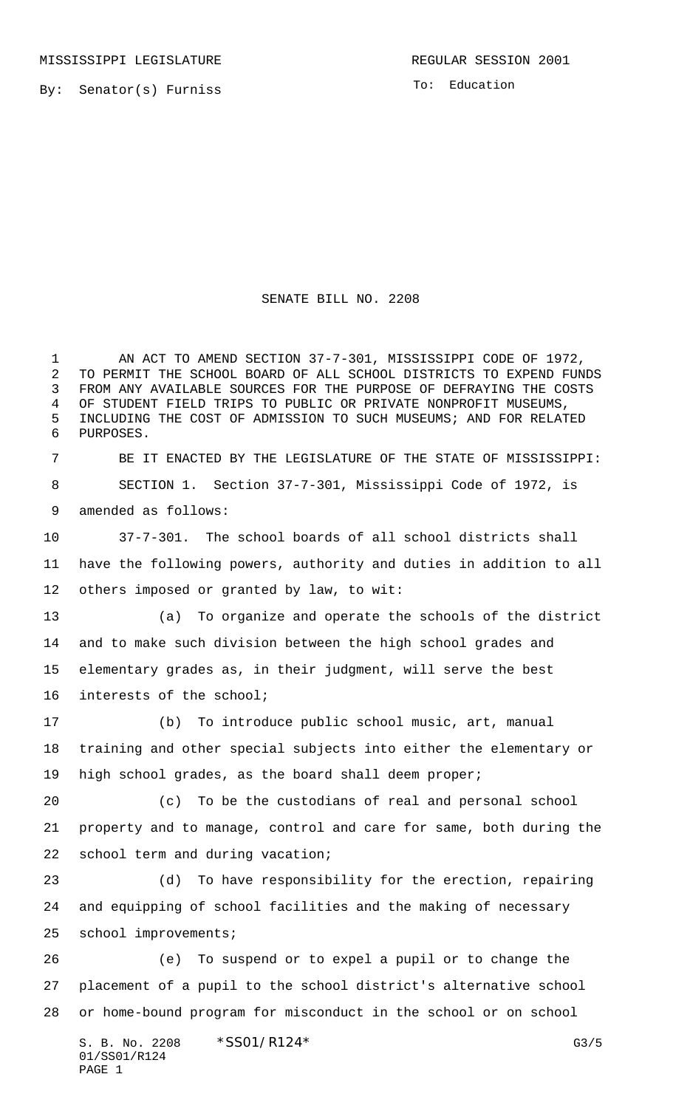By: Senator(s) Furniss

To: Education

## SENATE BILL NO. 2208

 AN ACT TO AMEND SECTION 37-7-301, MISSISSIPPI CODE OF 1972, TO PERMIT THE SCHOOL BOARD OF ALL SCHOOL DISTRICTS TO EXPEND FUNDS FROM ANY AVAILABLE SOURCES FOR THE PURPOSE OF DEFRAYING THE COSTS OF STUDENT FIELD TRIPS TO PUBLIC OR PRIVATE NONPROFIT MUSEUMS, INCLUDING THE COST OF ADMISSION TO SUCH MUSEUMS; AND FOR RELATED PURPOSES.

 BE IT ENACTED BY THE LEGISLATURE OF THE STATE OF MISSISSIPPI: SECTION 1. Section 37-7-301, Mississippi Code of 1972, is amended as follows:

 37-7-301. The school boards of all school districts shall have the following powers, authority and duties in addition to all others imposed or granted by law, to wit:

 (a) To organize and operate the schools of the district and to make such division between the high school grades and elementary grades as, in their judgment, will serve the best interests of the school;

 (b) To introduce public school music, art, manual training and other special subjects into either the elementary or high school grades, as the board shall deem proper;

 (c) To be the custodians of real and personal school property and to manage, control and care for same, both during the school term and during vacation;

 (d) To have responsibility for the erection, repairing and equipping of school facilities and the making of necessary school improvements;

 (e) To suspend or to expel a pupil or to change the placement of a pupil to the school district's alternative school or home-bound program for misconduct in the school or on school

S. B. No. 2208 \* SSO1/R124\* G3/5 01/SS01/R124 PAGE 1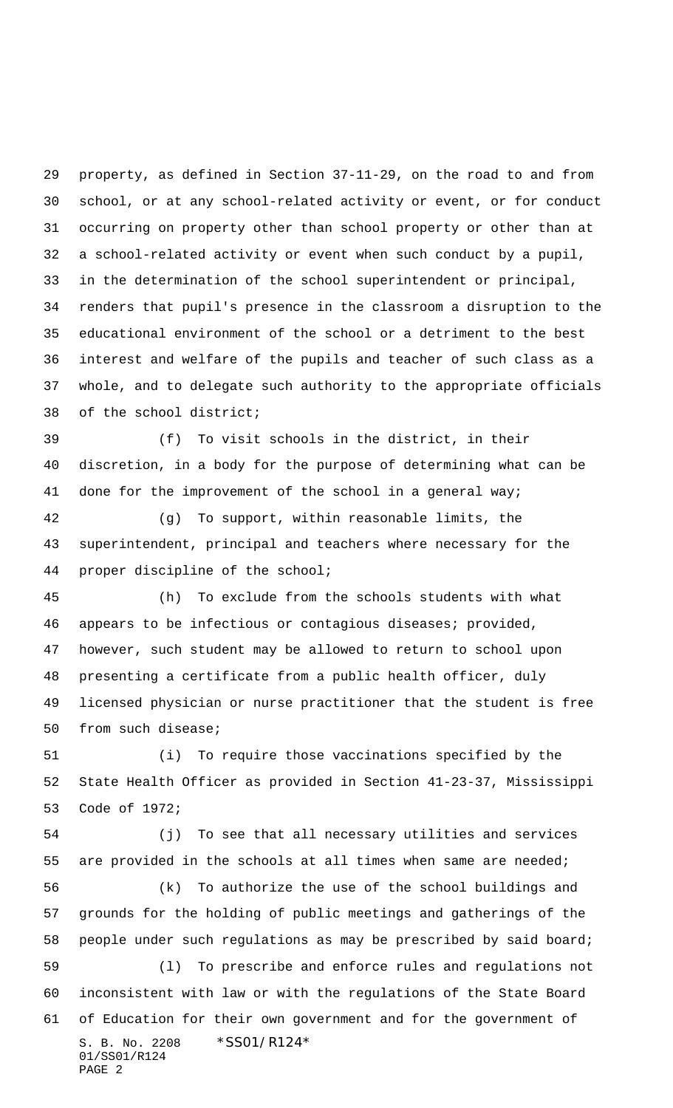property, as defined in Section 37-11-29, on the road to and from school, or at any school-related activity or event, or for conduct occurring on property other than school property or other than at a school-related activity or event when such conduct by a pupil, in the determination of the school superintendent or principal, renders that pupil's presence in the classroom a disruption to the educational environment of the school or a detriment to the best interest and welfare of the pupils and teacher of such class as a whole, and to delegate such authority to the appropriate officials of the school district;

 (f) To visit schools in the district, in their discretion, in a body for the purpose of determining what can be 41 done for the improvement of the school in a general way;

 (g) To support, within reasonable limits, the superintendent, principal and teachers where necessary for the proper discipline of the school;

 (h) To exclude from the schools students with what appears to be infectious or contagious diseases; provided, however, such student may be allowed to return to school upon presenting a certificate from a public health officer, duly licensed physician or nurse practitioner that the student is free from such disease;

 (i) To require those vaccinations specified by the State Health Officer as provided in Section 41-23-37, Mississippi Code of 1972;

S. B. No. 2208 \*SS01/R124\* 01/SS01/R124 PAGE 2 (j) To see that all necessary utilities and services are provided in the schools at all times when same are needed; (k) To authorize the use of the school buildings and grounds for the holding of public meetings and gatherings of the people under such regulations as may be prescribed by said board; (l) To prescribe and enforce rules and regulations not inconsistent with law or with the regulations of the State Board of Education for their own government and for the government of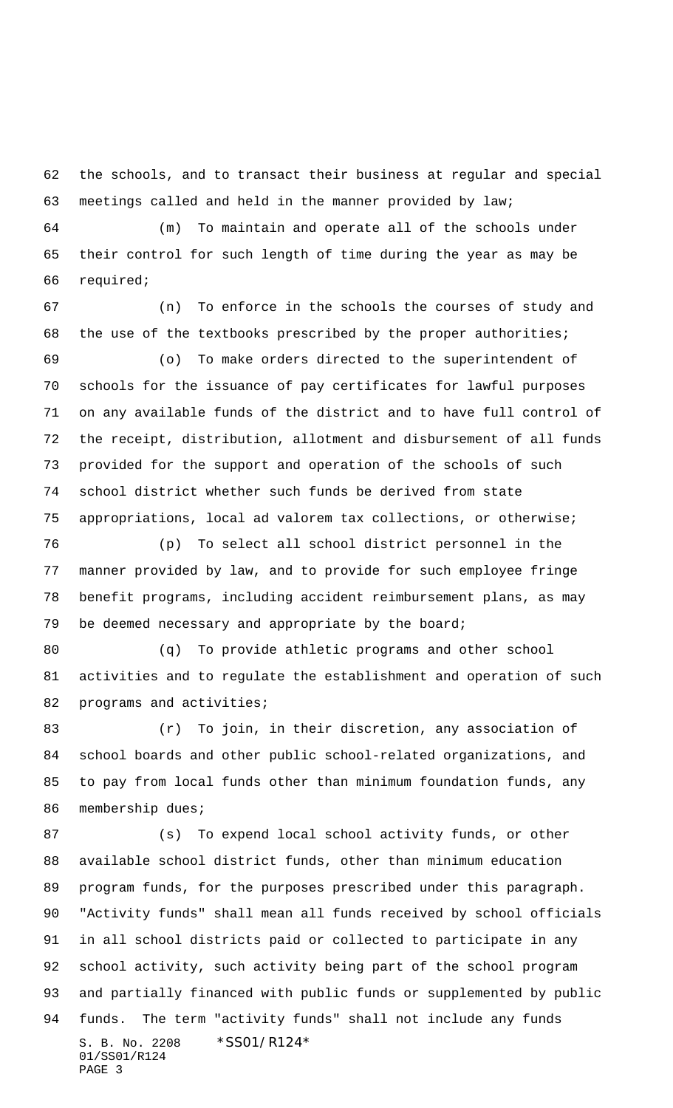the schools, and to transact their business at regular and special meetings called and held in the manner provided by law;

 (m) To maintain and operate all of the schools under their control for such length of time during the year as may be required;

 (n) To enforce in the schools the courses of study and the use of the textbooks prescribed by the proper authorities;

 (o) To make orders directed to the superintendent of schools for the issuance of pay certificates for lawful purposes on any available funds of the district and to have full control of the receipt, distribution, allotment and disbursement of all funds provided for the support and operation of the schools of such school district whether such funds be derived from state appropriations, local ad valorem tax collections, or otherwise;

 (p) To select all school district personnel in the manner provided by law, and to provide for such employee fringe benefit programs, including accident reimbursement plans, as may be deemed necessary and appropriate by the board;

 (q) To provide athletic programs and other school activities and to regulate the establishment and operation of such 82 programs and activities;

 (r) To join, in their discretion, any association of school boards and other public school-related organizations, and to pay from local funds other than minimum foundation funds, any membership dues;

S. B. No. 2208 \*SS01/R124\* 01/SS01/R124 PAGE 3 (s) To expend local school activity funds, or other available school district funds, other than minimum education program funds, for the purposes prescribed under this paragraph. "Activity funds" shall mean all funds received by school officials in all school districts paid or collected to participate in any school activity, such activity being part of the school program and partially financed with public funds or supplemented by public funds. The term "activity funds" shall not include any funds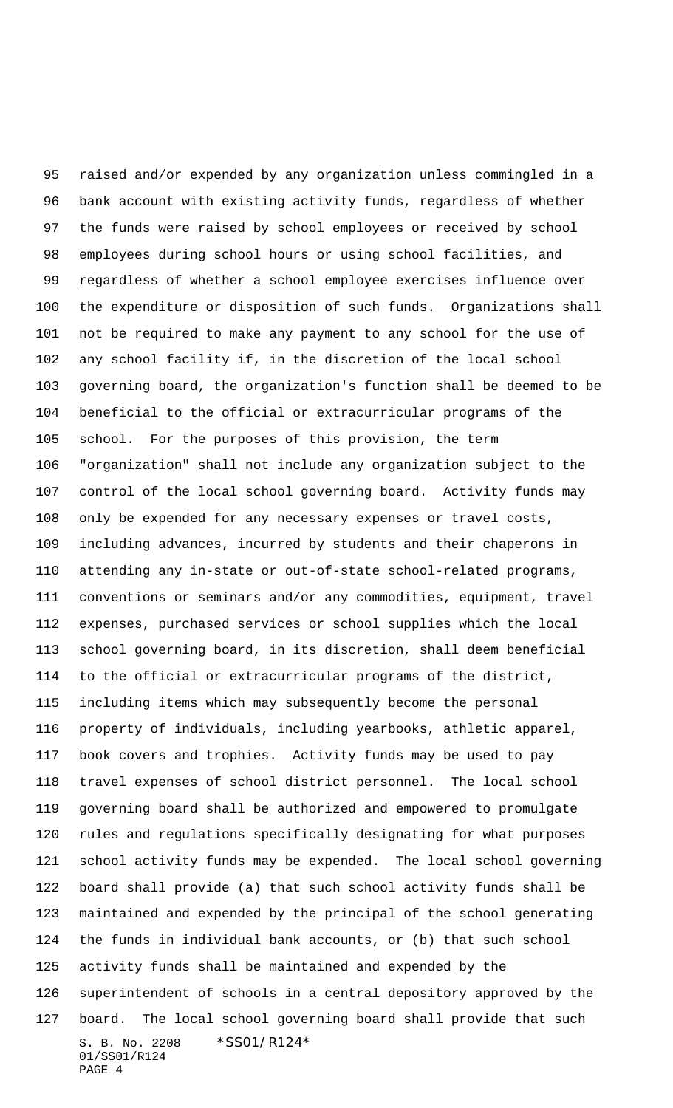S. B. No. 2208 \*SS01/R124\* 01/SS01/R124 PAGE 4 raised and/or expended by any organization unless commingled in a bank account with existing activity funds, regardless of whether the funds were raised by school employees or received by school employees during school hours or using school facilities, and regardless of whether a school employee exercises influence over the expenditure or disposition of such funds. Organizations shall not be required to make any payment to any school for the use of any school facility if, in the discretion of the local school governing board, the organization's function shall be deemed to be beneficial to the official or extracurricular programs of the school. For the purposes of this provision, the term "organization" shall not include any organization subject to the control of the local school governing board. Activity funds may only be expended for any necessary expenses or travel costs, including advances, incurred by students and their chaperons in attending any in-state or out-of-state school-related programs, conventions or seminars and/or any commodities, equipment, travel expenses, purchased services or school supplies which the local school governing board, in its discretion, shall deem beneficial to the official or extracurricular programs of the district, including items which may subsequently become the personal property of individuals, including yearbooks, athletic apparel, book covers and trophies. Activity funds may be used to pay travel expenses of school district personnel. The local school governing board shall be authorized and empowered to promulgate rules and regulations specifically designating for what purposes school activity funds may be expended. The local school governing board shall provide (a) that such school activity funds shall be maintained and expended by the principal of the school generating the funds in individual bank accounts, or (b) that such school activity funds shall be maintained and expended by the superintendent of schools in a central depository approved by the board. The local school governing board shall provide that such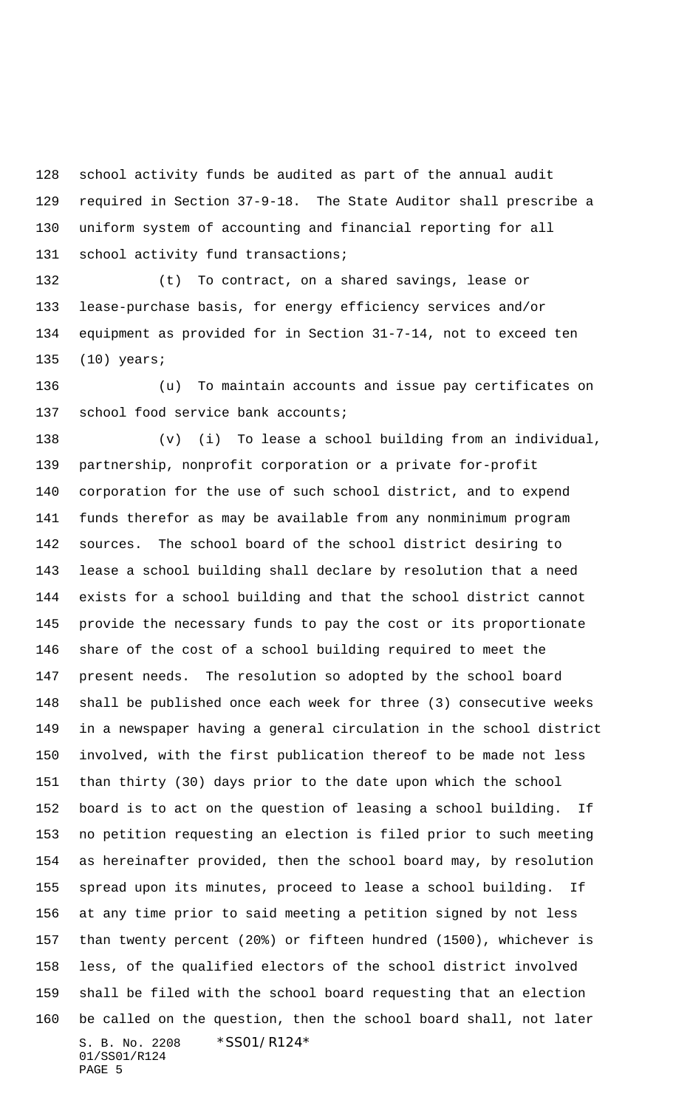school activity funds be audited as part of the annual audit required in Section 37-9-18. The State Auditor shall prescribe a uniform system of accounting and financial reporting for all 131 school activity fund transactions;

 (t) To contract, on a shared savings, lease or lease-purchase basis, for energy efficiency services and/or equipment as provided for in Section 31-7-14, not to exceed ten (10) years;

 (u) To maintain accounts and issue pay certificates on school food service bank accounts;

S. B. No. 2208 \* SS01/R124\* 01/SS01/R124 (v) (i) To lease a school building from an individual, partnership, nonprofit corporation or a private for-profit corporation for the use of such school district, and to expend funds therefor as may be available from any nonminimum program sources. The school board of the school district desiring to lease a school building shall declare by resolution that a need exists for a school building and that the school district cannot provide the necessary funds to pay the cost or its proportionate share of the cost of a school building required to meet the present needs. The resolution so adopted by the school board shall be published once each week for three (3) consecutive weeks in a newspaper having a general circulation in the school district involved, with the first publication thereof to be made not less than thirty (30) days prior to the date upon which the school board is to act on the question of leasing a school building. If no petition requesting an election is filed prior to such meeting as hereinafter provided, then the school board may, by resolution spread upon its minutes, proceed to lease a school building. If at any time prior to said meeting a petition signed by not less than twenty percent (20%) or fifteen hundred (1500), whichever is less, of the qualified electors of the school district involved shall be filed with the school board requesting that an election be called on the question, then the school board shall, not later

```
PAGE 5
```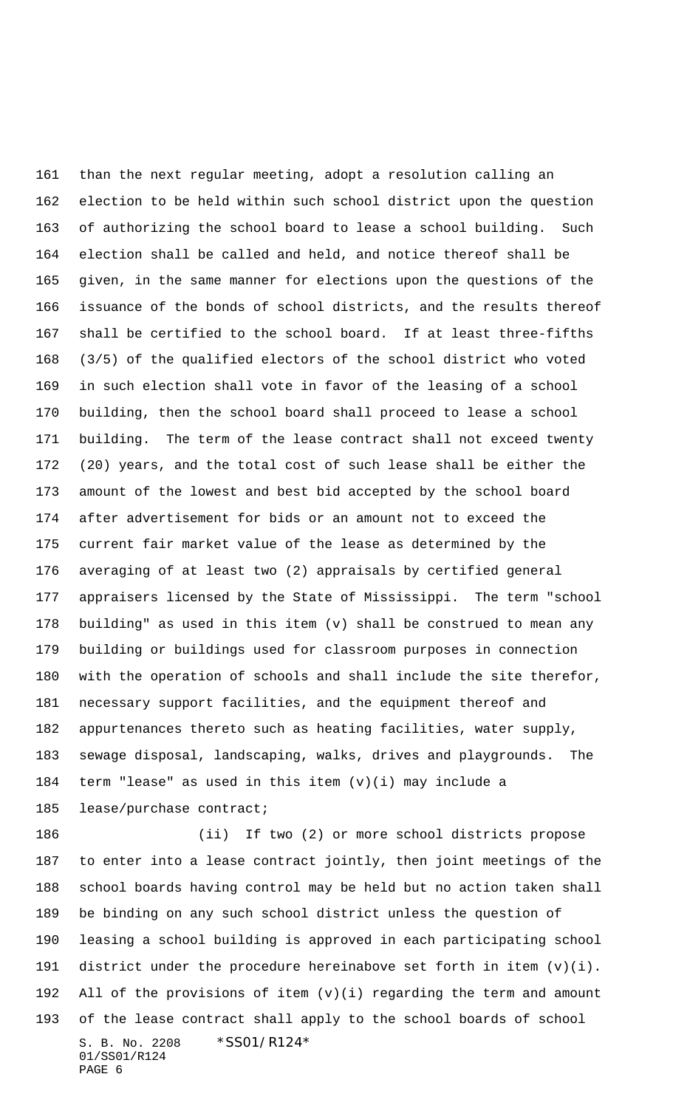than the next regular meeting, adopt a resolution calling an election to be held within such school district upon the question of authorizing the school board to lease a school building. Such election shall be called and held, and notice thereof shall be given, in the same manner for elections upon the questions of the issuance of the bonds of school districts, and the results thereof shall be certified to the school board. If at least three-fifths (3/5) of the qualified electors of the school district who voted in such election shall vote in favor of the leasing of a school building, then the school board shall proceed to lease a school building. The term of the lease contract shall not exceed twenty (20) years, and the total cost of such lease shall be either the amount of the lowest and best bid accepted by the school board after advertisement for bids or an amount not to exceed the current fair market value of the lease as determined by the averaging of at least two (2) appraisals by certified general appraisers licensed by the State of Mississippi. The term "school building" as used in this item (v) shall be construed to mean any building or buildings used for classroom purposes in connection with the operation of schools and shall include the site therefor, necessary support facilities, and the equipment thereof and appurtenances thereto such as heating facilities, water supply, sewage disposal, landscaping, walks, drives and playgrounds. The term "lease" as used in this item (v)(i) may include a lease/purchase contract;

S. B. No. 2208 \*SS01/R124\* 01/SS01/R124 PAGE 6 (ii) If two (2) or more school districts propose to enter into a lease contract jointly, then joint meetings of the school boards having control may be held but no action taken shall be binding on any such school district unless the question of leasing a school building is approved in each participating school 191 district under the procedure hereinabove set forth in item  $(v)(i)$ . All of the provisions of item (v)(i) regarding the term and amount of the lease contract shall apply to the school boards of school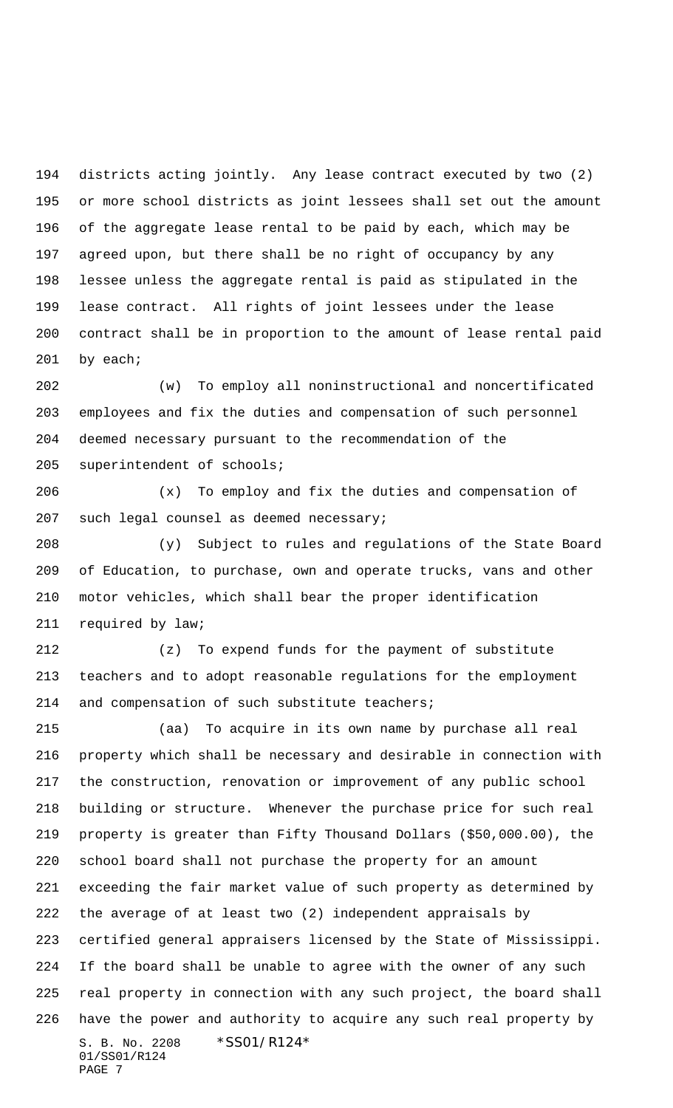districts acting jointly. Any lease contract executed by two (2) or more school districts as joint lessees shall set out the amount of the aggregate lease rental to be paid by each, which may be agreed upon, but there shall be no right of occupancy by any lessee unless the aggregate rental is paid as stipulated in the lease contract. All rights of joint lessees under the lease contract shall be in proportion to the amount of lease rental paid 201 by each;

 (w) To employ all noninstructional and noncertificated employees and fix the duties and compensation of such personnel deemed necessary pursuant to the recommendation of the superintendent of schools;

 (x) To employ and fix the duties and compensation of such legal counsel as deemed necessary;

 (y) Subject to rules and regulations of the State Board of Education, to purchase, own and operate trucks, vans and other motor vehicles, which shall bear the proper identification required by law;

 (z) To expend funds for the payment of substitute teachers and to adopt reasonable regulations for the employment and compensation of such substitute teachers;

S. B. No. 2208 \* SS01/R124\* 01/SS01/R124 (aa) To acquire in its own name by purchase all real property which shall be necessary and desirable in connection with the construction, renovation or improvement of any public school building or structure. Whenever the purchase price for such real property is greater than Fifty Thousand Dollars (\$50,000.00), the school board shall not purchase the property for an amount exceeding the fair market value of such property as determined by the average of at least two (2) independent appraisals by certified general appraisers licensed by the State of Mississippi. If the board shall be unable to agree with the owner of any such real property in connection with any such project, the board shall have the power and authority to acquire any such real property by

PAGE 7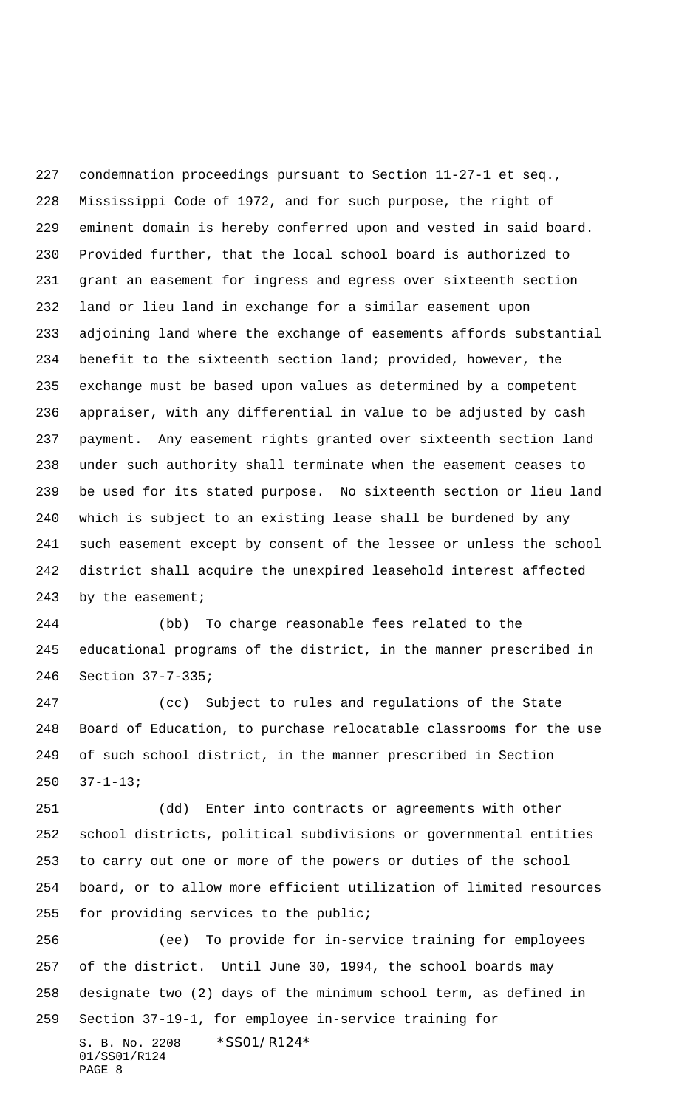condemnation proceedings pursuant to Section 11-27-1 et seq., Mississippi Code of 1972, and for such purpose, the right of eminent domain is hereby conferred upon and vested in said board. Provided further, that the local school board is authorized to grant an easement for ingress and egress over sixteenth section land or lieu land in exchange for a similar easement upon adjoining land where the exchange of easements affords substantial benefit to the sixteenth section land; provided, however, the exchange must be based upon values as determined by a competent appraiser, with any differential in value to be adjusted by cash payment. Any easement rights granted over sixteenth section land under such authority shall terminate when the easement ceases to be used for its stated purpose. No sixteenth section or lieu land which is subject to an existing lease shall be burdened by any such easement except by consent of the lessee or unless the school district shall acquire the unexpired leasehold interest affected 243 by the easement;

 (bb) To charge reasonable fees related to the educational programs of the district, in the manner prescribed in Section 37-7-335;

 (cc) Subject to rules and regulations of the State Board of Education, to purchase relocatable classrooms for the use of such school district, in the manner prescribed in Section 37-1-13;

 (dd) Enter into contracts or agreements with other school districts, political subdivisions or governmental entities to carry out one or more of the powers or duties of the school board, or to allow more efficient utilization of limited resources for providing services to the public;

S. B. No. 2208 \*SS01/R124\* 01/SS01/R124 PAGE 8 (ee) To provide for in-service training for employees of the district. Until June 30, 1994, the school boards may designate two (2) days of the minimum school term, as defined in Section 37-19-1, for employee in-service training for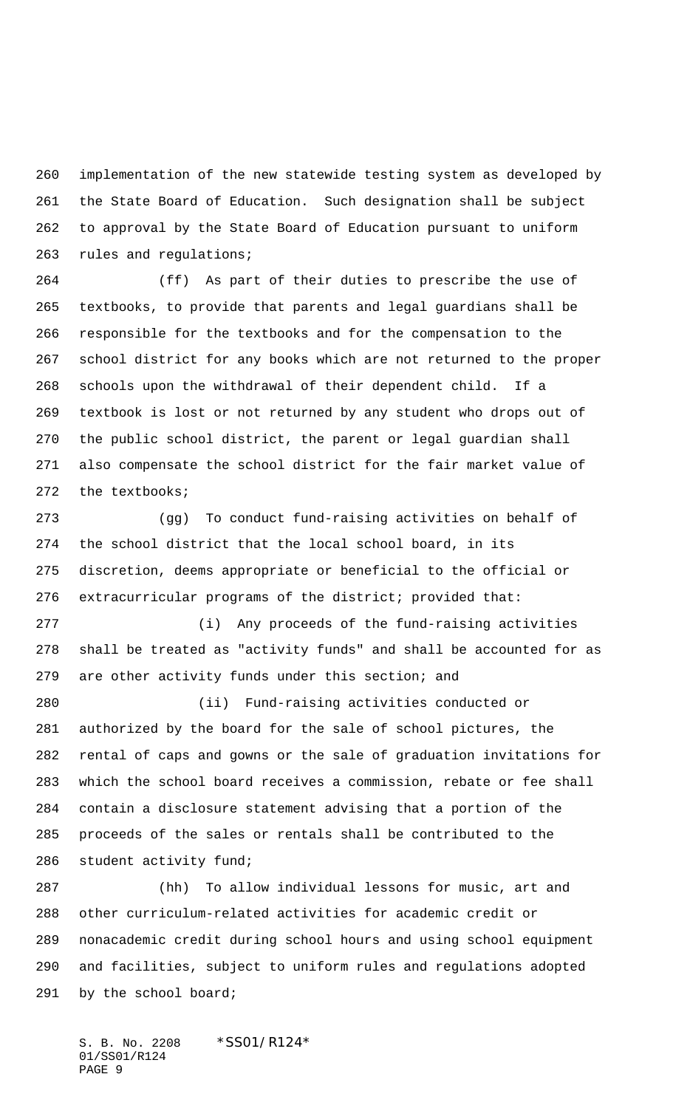implementation of the new statewide testing system as developed by the State Board of Education. Such designation shall be subject to approval by the State Board of Education pursuant to uniform rules and regulations;

 (ff) As part of their duties to prescribe the use of textbooks, to provide that parents and legal guardians shall be responsible for the textbooks and for the compensation to the school district for any books which are not returned to the proper schools upon the withdrawal of their dependent child. If a textbook is lost or not returned by any student who drops out of the public school district, the parent or legal guardian shall also compensate the school district for the fair market value of the textbooks;

 (gg) To conduct fund-raising activities on behalf of the school district that the local school board, in its discretion, deems appropriate or beneficial to the official or extracurricular programs of the district; provided that:

 (i) Any proceeds of the fund-raising activities shall be treated as "activity funds" and shall be accounted for as are other activity funds under this section; and

 (ii) Fund-raising activities conducted or authorized by the board for the sale of school pictures, the rental of caps and gowns or the sale of graduation invitations for which the school board receives a commission, rebate or fee shall contain a disclosure statement advising that a portion of the proceeds of the sales or rentals shall be contributed to the student activity fund;

 (hh) To allow individual lessons for music, art and other curriculum-related activities for academic credit or nonacademic credit during school hours and using school equipment and facilities, subject to uniform rules and regulations adopted by the school board;

S. B. No. 2208 \*SS01/R124\* 01/SS01/R124 PAGE 9